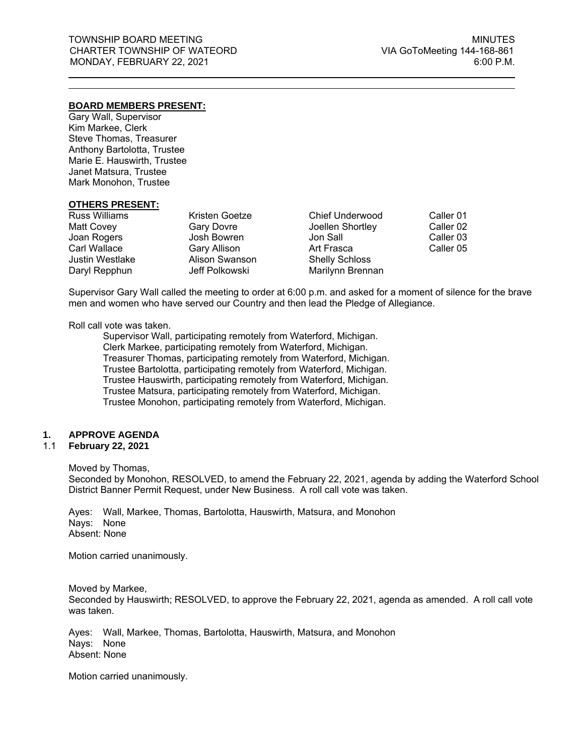# **BOARD MEMBERS PRESENT:**

Gary Wall, Supervisor Kim Markee, Clerk Steve Thomas, Treasurer Anthony Bartolotta, Trustee Marie E. Hauswirth, Trustee Janet Matsura, Trustee Mark Monohon, Trustee

#### **OTHERS PRESENT:**

| <b>Russ Williams</b>   | Kristen Goetze      | <b>Chief Underwood</b> | Caller 01 |
|------------------------|---------------------|------------------------|-----------|
| Matt Covey             | <b>Gary Dovre</b>   | Joellen Shortley       | Caller 02 |
| Joan Rogers            | Josh Bowren         | Jon Sall               | Caller 03 |
| <b>Carl Wallace</b>    | <b>Gary Allison</b> | Art Frasca             | Caller 05 |
| <b>Justin Westlake</b> | Alison Swanson      | <b>Shelly Schloss</b>  |           |
| Daryl Repphun          | Jeff Polkowski      | Marilynn Brennan       |           |

Supervisor Gary Wall called the meeting to order at 6:00 p.m. and asked for a moment of silence for the brave men and women who have served our Country and then lead the Pledge of Allegiance.

#### Roll call vote was taken.

Supervisor Wall, participating remotely from Waterford, Michigan. Clerk Markee, participating remotely from Waterford, Michigan. Treasurer Thomas, participating remotely from Waterford, Michigan. Trustee Bartolotta, participating remotely from Waterford, Michigan. Trustee Hauswirth, participating remotely from Waterford, Michigan. Trustee Matsura, participating remotely from Waterford, Michigan. Trustee Monohon, participating remotely from Waterford, Michigan.

# **1. APPROVE AGENDA**

# 1.1 **February 22, 2021**

#### Moved by Thomas,

Seconded by Monohon, RESOLVED, to amend the February 22, 2021, agenda by adding the Waterford School District Banner Permit Request, under New Business. A roll call vote was taken.

Ayes: Wall, Markee, Thomas, Bartolotta, Hauswirth, Matsura, and Monohon Nays: None Absent: None

Motion carried unanimously.

Moved by Markee, Seconded by Hauswirth; RESOLVED, to approve the February 22, 2021, agenda as amended. A roll call vote was taken.

Ayes: Wall, Markee, Thomas, Bartolotta, Hauswirth, Matsura, and Monohon Nays: None Absent: None

Motion carried unanimously.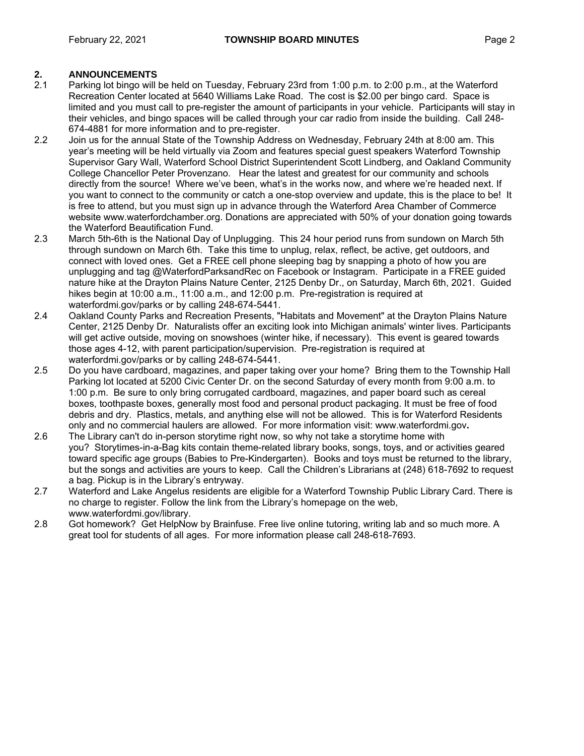# **2. ANNOUNCEMENTS**

- 2.1 Parking lot bingo will be held on Tuesday, February 23rd from 1:00 p.m. to 2:00 p.m., at the Waterford Recreation Center located at 5640 Williams Lake Road. The cost is \$2.00 per bingo card. Space is limited and you must call to pre-register the amount of participants in your vehicle. Participants will stay in their vehicles, and bingo spaces will be called through your car radio from inside the building. Call 248- 674-4881 for more information and to pre-register.
- 2.2 Join us for the annual State of the Township Address on Wednesday, February 24th at 8:00 am. This year's meeting will be held virtually via Zoom and features special guest speakers Waterford Township Supervisor Gary Wall, Waterford School District Superintendent Scott Lindberg, and Oakland Community College Chancellor Peter Provenzano. Hear the latest and greatest for our community and schools directly from the source! Where we've been, what's in the works now, and where we're headed next. If you want to connect to the community or catch a one-stop overview and update, this is the place to be! It is free to attend, but you must sign up in advance through the Waterford Area Chamber of Commerce website www.waterfordchamber.org. Donations are appreciated with 50% of your donation going towards the Waterford Beautification Fund.
- 2.3 March 5th-6th is the National Day of Unplugging. This 24 hour period runs from sundown on March 5th through sundown on March 6th. Take this time to unplug, relax, reflect, be active, get outdoors, and connect with loved ones. Get a FREE cell phone sleeping bag by snapping a photo of how you are unplugging and tag @WaterfordParksandRec on Facebook or Instagram. Participate in a FREE guided nature hike at the Drayton Plains Nature Center, 2125 Denby Dr., on Saturday, March 6th, 2021. Guided hikes begin at 10:00 a.m., 11:00 a.m., and 12:00 p.m. Pre-registration is required at waterfordmi.gov/parks or by calling 248-674-5441.
- 2.4 Oakland County Parks and Recreation Presents, "Habitats and Movement" at the Drayton Plains Nature Center, 2125 Denby Dr. Naturalists offer an exciting look into Michigan animals' winter lives. Participants will get active outside, moving on snowshoes (winter hike, if necessary). This event is geared towards those ages 4-12, with parent participation/supervision. Pre-registration is required at waterfordmi.gov/parks or by calling 248-674-5441.
- 2.5 Do you have cardboard, magazines, and paper taking over your home? Bring them to the Township Hall Parking lot located at 5200 Civic Center Dr. on the second Saturday of every month from 9:00 a.m. to 1:00 p.m. Be sure to only bring corrugated cardboard, magazines, and paper board such as cereal boxes, toothpaste boxes, generally most food and personal product packaging. It must be free of food debris and dry. Plastics, metals, and anything else will not be allowed. This is for Waterford Residents only and no commercial haulers are allowed. For more information visit: [www.waterfordmi.gov](http://www.waterfordmi.gov/)**.**
- 2.6 The Library can't do in-person storytime right now, so why not take a storytime home with you? Storytimes-in-a-Bag kits contain theme-related library books, songs, toys, and or activities geared toward specific age groups (Babies to Pre-Kindergarten). Books and toys must be returned to the library, but the songs and activities are yours to keep. Call the Children's Librarians at (248) 618-7692 to request a bag. Pickup is in the Library's entryway.
- 2.7 Waterford and Lake Angelus residents are eligible for a Waterford Township Public Library Card. There is no charge to register. Follow the link from the Library's homepage on the web, www.waterfordmi.gov/library.
- 2.8 Got homework? Get HelpNow by Brainfuse. Free live online tutoring, writing lab and so much more. A great tool for students of all ages. For more information please call 248-618-7693.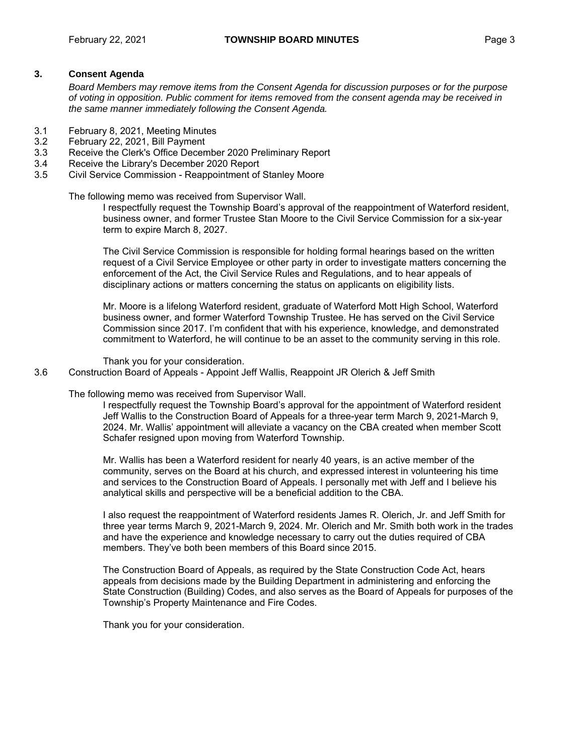# **3. Consent Agenda**

*Board Members may remove items from the Consent Agenda for discussion purposes or for the purpose of voting in opposition. Public comment for items removed from the consent agenda may be received in the same manner immediately following the Consent Agenda.*

- 3.1 February 8, 2021, Meeting Minutes<br>3.2 February 22, 2021, Bill Payment
- February 22, 2021, Bill Payment
- 3.3 Receive the Clerk's Office December 2020 Preliminary Report<br>3.4 Receive the Library's December 2020 Report
- Receive the Library's December 2020 Report
- 3.5 Civil Service Commission Reappointment of Stanley Moore

The following memo was received from Supervisor Wall.

I respectfully request the Township Board's approval of the reappointment of Waterford resident, business owner, and former Trustee Stan Moore to the Civil Service Commission for a six-year term to expire March 8, 2027.

The Civil Service Commission is responsible for holding formal hearings based on the written request of a Civil Service Employee or other party in order to investigate matters concerning the enforcement of the Act, the Civil Service Rules and Regulations, and to hear appeals of disciplinary actions or matters concerning the status on applicants on eligibility lists.

Mr. Moore is a lifelong Waterford resident, graduate of Waterford Mott High School, Waterford business owner, and former Waterford Township Trustee. He has served on the Civil Service Commission since 2017. I'm confident that with his experience, knowledge, and demonstrated commitment to Waterford, he will continue to be an asset to the community serving in this role.

Thank you for your consideration.

3.6 Construction Board of Appeals - Appoint Jeff Wallis, Reappoint JR Olerich & Jeff Smith

The following memo was received from Supervisor Wall.

I respectfully request the Township Board's approval for the appointment of Waterford resident Jeff Wallis to the Construction Board of Appeals for a three-year term March 9, 2021-March 9, 2024. Mr. Wallis' appointment will alleviate a vacancy on the CBA created when member Scott Schafer resigned upon moving from Waterford Township.

Mr. Wallis has been a Waterford resident for nearly 40 years, is an active member of the community, serves on the Board at his church, and expressed interest in volunteering his time and services to the Construction Board of Appeals. I personally met with Jeff and I believe his analytical skills and perspective will be a beneficial addition to the CBA.

I also request the reappointment of Waterford residents James R. Olerich, Jr. and Jeff Smith for three year terms March 9, 2021-March 9, 2024. Mr. Olerich and Mr. Smith both work in the trades and have the experience and knowledge necessary to carry out the duties required of CBA members. They've both been members of this Board since 2015.

The Construction Board of Appeals, as required by the State Construction Code Act, hears appeals from decisions made by the Building Department in administering and enforcing the State Construction (Building) Codes, and also serves as the Board of Appeals for purposes of the Township's Property Maintenance and Fire Codes.

Thank you for your consideration.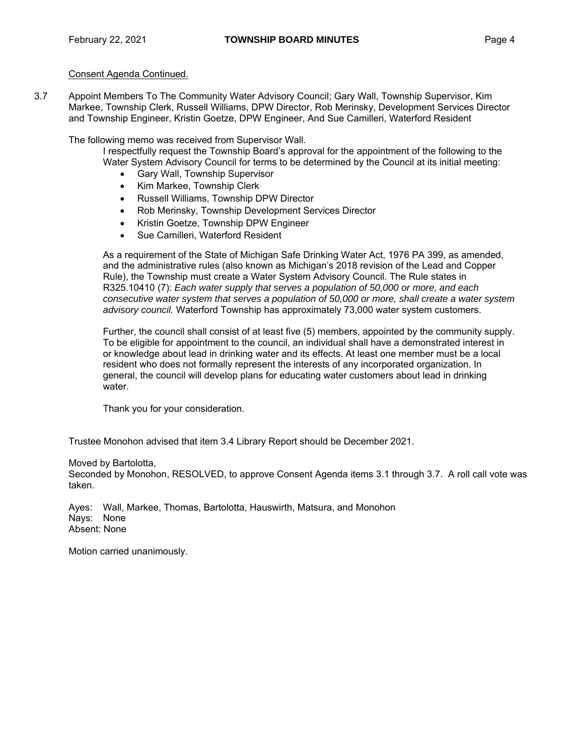# Consent Agenda Continued.

3.7 Appoint Members To The Community Water Advisory Council; Gary Wall, Township Supervisor, Kim Markee, Township Clerk, Russell Williams, DPW Director, Rob Merinsky, Development Services Director and Township Engineer, Kristin Goetze, DPW Engineer, And Sue Camilleri, Waterford Resident

The following memo was received from Supervisor Wall.

I respectfully request the Township Board's approval for the appointment of the following to the Water System Advisory Council for terms to be determined by the Council at its initial meeting:

- **•** Gary Wall, Township Supervisor
- Kim Markee, Township Clerk
- Russell Williams, Township DPW Director
- Rob Merinsky, Township Development Services Director
- Kristin Goetze, Township DPW Engineer
- Sue Camilleri, Waterford Resident

As a requirement of the State of Michigan Safe Drinking Water Act, 1976 PA 399, as amended, and the administrative rules (also known as Michigan's 2018 revision of the Lead and Copper Rule), the Township must create a Water System Advisory Council. The Rule states in R325.10410 (7): *Each water supply that serves a population of 50,000 or more, and each consecutive water system that serves a population of 50,000 or more, shall create a water system advisory council.* Waterford Township has approximately 73,000 water system customers.

Further, the council shall consist of at least five (5) members, appointed by the community supply. To be eligible for appointment to the council, an individual shall have a demonstrated interest in or knowledge about lead in drinking water and its effects. At least one member must be a local resident who does not formally represent the interests of any incorporated organization. In general, the council will develop plans for educating water customers about lead in drinking water.

Thank you for your consideration.

Trustee Monohon advised that item 3.4 Library Report should be December 2021.

# Moved by Bartolotta,

Seconded by Monohon, RESOLVED, to approve Consent Agenda items 3.1 through 3.7. A roll call vote was taken.

Ayes: Wall, Markee, Thomas, Bartolotta, Hauswirth, Matsura, and Monohon Nays: None Absent: None

Motion carried unanimously.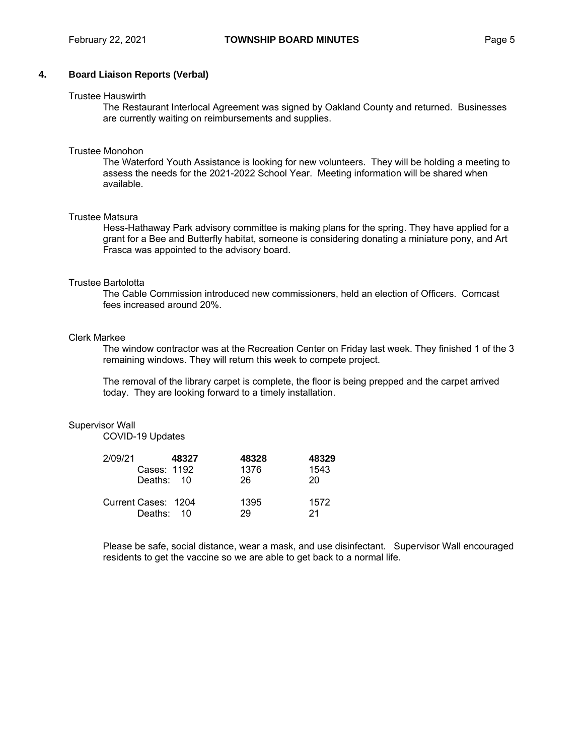# **4. Board Liaison Reports (Verbal)**

#### Trustee Hauswirth

The Restaurant Interlocal Agreement was signed by Oakland County and returned. Businesses are currently waiting on reimbursements and supplies.

#### Trustee Monohon

The Waterford Youth Assistance is looking for new volunteers. They will be holding a meeting to assess the needs for the 2021-2022 School Year. Meeting information will be shared when available.

#### Trustee Matsura

Hess-Hathaway Park advisory committee is making plans for the spring. They have applied for a grant for a Bee and Butterfly habitat, someone is considering donating a miniature pony, and Art Frasca was appointed to the advisory board.

#### Trustee Bartolotta

The Cable Commission introduced new commissioners, held an election of Officers. Comcast fees increased around 20%.

#### Clerk Markee

The window contractor was at the Recreation Center on Friday last week. They finished 1 of the 3 remaining windows. They will return this week to compete project.

The removal of the library carpet is complete, the floor is being prepped and the carpet arrived today. They are looking forward to a timely installation.

#### Supervisor Wall

COVID-19 Updates

| 2/09/21 | 48327                             | 48328      | 48329      |
|---------|-----------------------------------|------------|------------|
|         | Cases: 1192                       | 1376       | 1543       |
|         | Deaths: 10                        | 26         | 20         |
|         | Current Cases: 1204<br>Deaths: 10 | 1395<br>29 | 1572<br>21 |

Please be safe, social distance, wear a mask, and use disinfectant. Supervisor Wall encouraged residents to get the vaccine so we are able to get back to a normal life.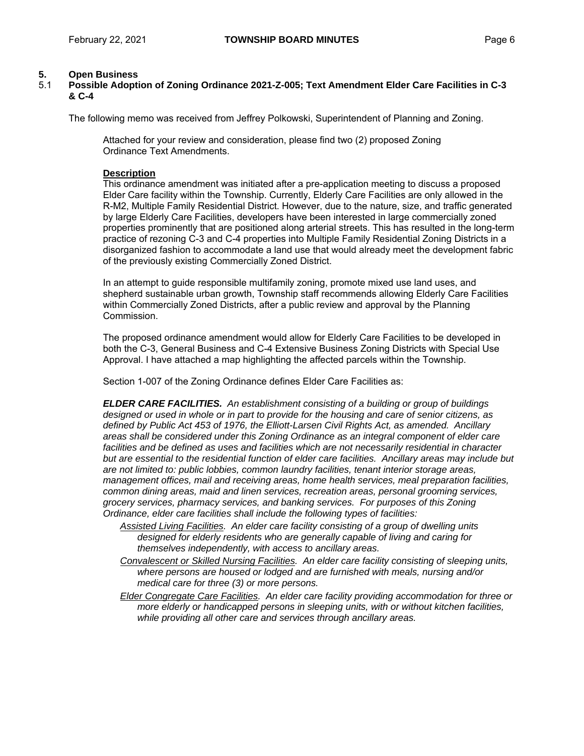# **5. Open Business**

# 5.1 **Possible Adoption of Zoning Ordinance 2021-Z-005; Text Amendment Elder Care Facilities in C-3 & C-4**

The following memo was received from Jeffrey Polkowski, Superintendent of Planning and Zoning.

Attached for your review and consideration, please find two (2) proposed Zoning Ordinance Text Amendments.

#### **Description**

This ordinance amendment was initiated after a pre-application meeting to discuss a proposed Elder Care facility within the Township. Currently, Elderly Care Facilities are only allowed in the R-M2, Multiple Family Residential District. However, due to the nature, size, and traffic generated by large Elderly Care Facilities, developers have been interested in large commercially zoned properties prominently that are positioned along arterial streets. This has resulted in the long-term practice of rezoning C-3 and C-4 properties into Multiple Family Residential Zoning Districts in a disorganized fashion to accommodate a land use that would already meet the development fabric of the previously existing Commercially Zoned District.

In an attempt to guide responsible multifamily zoning, promote mixed use land uses, and shepherd sustainable urban growth, Township staff recommends allowing Elderly Care Facilities within Commercially Zoned Districts, after a public review and approval by the Planning Commission.

The proposed ordinance amendment would allow for Elderly Care Facilities to be developed in both the C-3, General Business and C-4 Extensive Business Zoning Districts with Special Use Approval. I have attached a map highlighting the affected parcels within the Township.

Section 1-007 of the Zoning Ordinance defines Elder Care Facilities as:

*ELDER CARE FACILITIES. An establishment consisting of a building or group of buildings designed or used in whole or in part to provide for the housing and care of senior citizens, as defined by Public Act 453 of 1976, the Elliott-Larsen Civil Rights Act, as amended. Ancillary areas shall be considered under this Zoning Ordinance as an integral component of elder care facilities and be defined as uses and facilities which are not necessarily residential in character but are essential to the residential function of elder care facilities. Ancillary areas may include but are not limited to: public lobbies, common laundry facilities, tenant interior storage areas, management offices, mail and receiving areas, home health services, meal preparation facilities, common dining areas, maid and linen services, recreation areas, personal grooming services, grocery services, pharmacy services, and banking services. For purposes of this Zoning Ordinance, elder care facilities shall include the following types of facilities:*

*Assisted Living Facilities. An elder care facility consisting of a group of dwelling units designed for elderly residents who are generally capable of living and caring for themselves independently, with access to ancillary areas.*

*Convalescent or Skilled Nursing Facilities. An elder care facility consisting of sleeping units, where persons are housed or lodged and are furnished with meals, nursing and/or medical care for three (3) or more persons.*

*Elder Congregate Care Facilities. An elder care facility providing accommodation for three or more elderly or handicapped persons in sleeping units, with or without kitchen facilities, while providing all other care and services through ancillary areas.*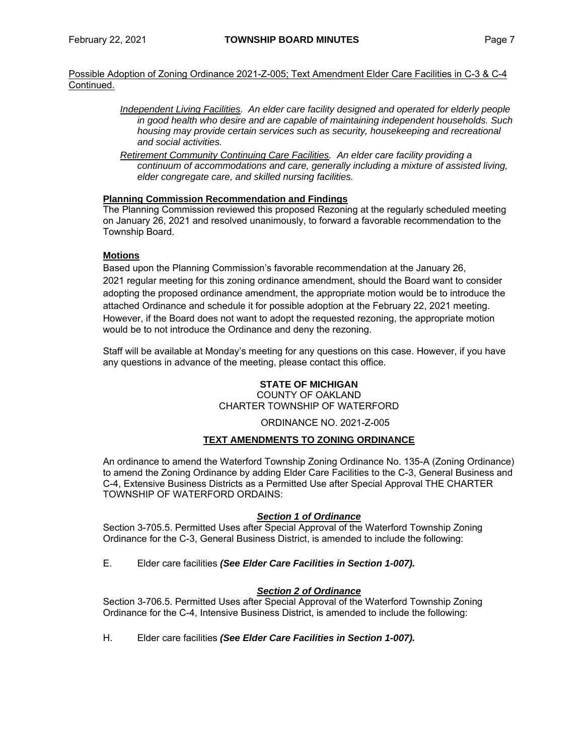# Possible Adoption of Zoning Ordinance 2021-Z-005; Text Amendment Elder Care Facilities in C-3 & C-4 Continued.

- *Independent Living Facilities. An elder care facility designed and operated for elderly people in good health who desire and are capable of maintaining independent households. Such housing may provide certain services such as security, housekeeping and recreational and social activities.*
- *Retirement Community Continuing Care Facilities. An elder care facility providing a continuum of accommodations and care, generally including a mixture of assisted living, elder congregate care, and skilled nursing facilities.*

# **Planning Commission Recommendation and Findings**

The Planning Commission reviewed this proposed Rezoning at the regularly scheduled meeting on January 26, 2021 and resolved unanimously, to forward a favorable recommendation to the Township Board.

# **Motions**

Based upon the Planning Commission's favorable recommendation at the January 26, 2021 regular meeting for this zoning ordinance amendment, should the Board want to consider adopting the proposed ordinance amendment, the appropriate motion would be to introduce the attached Ordinance and schedule it for possible adoption at the February 22, 2021 meeting. However, if the Board does not want to adopt the requested rezoning, the appropriate motion would be to not introduce the Ordinance and deny the rezoning.

Staff will be available at Monday's meeting for any questions on this case. However, if you have any questions in advance of the meeting, please contact this office.

# **STATE OF MICHIGAN**

COUNTY OF OAKLAND CHARTER TOWNSHIP OF WATERFORD

# ORDINANCE NO. 2021-Z-005

# **TEXT AMENDMENTS TO ZONING ORDINANCE**

An ordinance to amend the Waterford Township Zoning Ordinance No. 135-A (Zoning Ordinance) to amend the Zoning Ordinance by adding Elder Care Facilities to the C-3, General Business and C-4, Extensive Business Districts as a Permitted Use after Special Approval THE CHARTER TOWNSHIP OF WATERFORD ORDAINS:

# *Section 1 of Ordinance*

Section 3-705.5. Permitted Uses after Special Approval of the Waterford Township Zoning Ordinance for the C-3, General Business District, is amended to include the following:

E. Elder care facilities *(See Elder Care Facilities in Section 1-007).*

# *Section 2 of Ordinance*

Section 3-706.5. Permitted Uses after Special Approval of the Waterford Township Zoning Ordinance for the C-4, Intensive Business District, is amended to include the following:

H. Elder care facilities *(See Elder Care Facilities in Section 1-007).*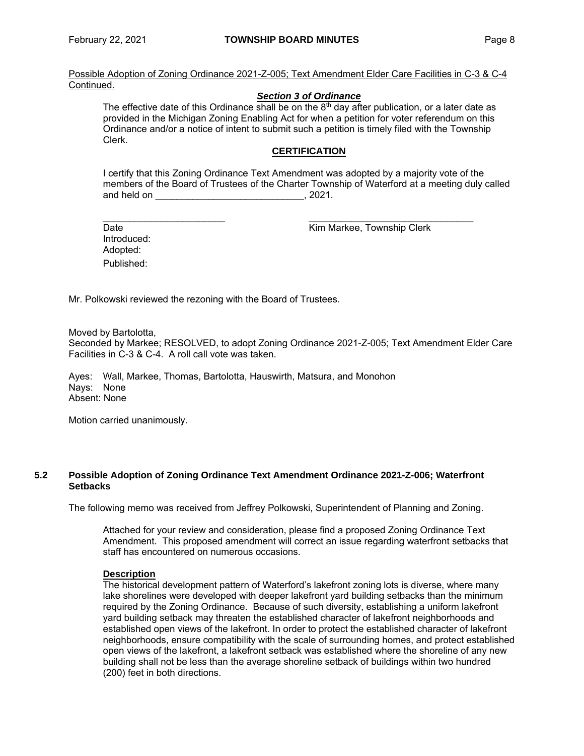Possible Adoption of Zoning Ordinance 2021-Z-005; Text Amendment Elder Care Facilities in C-3 & C-4 Continued.

# *Section 3 of Ordinance*

The effective date of this Ordinance shall be on the  $8<sup>th</sup>$  day after publication, or a later date as provided in the Michigan Zoning Enabling Act for when a petition for voter referendum on this Ordinance and/or a notice of intent to submit such a petition is timely filed with the Township Clerk.

# **CERTIFICATION**

I certify that this Zoning Ordinance Text Amendment was adopted by a majority vote of the members of the Board of Trustees of the Charter Township of Waterford at a meeting duly called and held on  $\sim$  0.221.

Introduced: Adopted: Published:

\_\_\_\_\_\_\_\_\_\_\_\_\_\_\_\_\_\_\_\_\_\_\_ \_\_\_\_\_\_\_\_\_\_\_\_\_\_\_\_\_\_\_\_\_\_\_\_\_\_\_\_\_\_\_ Date **Contract Contract Contract Contract Contract Contract Contract Contract Contract Contract Contract Contract Contract Contract Contract Contract Contract Contract Contract Contract Contract Contract Contract Contract** 

Mr. Polkowski reviewed the rezoning with the Board of Trustees.

Moved by Bartolotta,

Seconded by Markee; RESOLVED, to adopt Zoning Ordinance 2021-Z-005; Text Amendment Elder Care Facilities in C-3 & C-4. A roll call vote was taken.

Ayes: Wall, Markee, Thomas, Bartolotta, Hauswirth, Matsura, and Monohon Nays: None Absent: None

Motion carried unanimously.

# **5.2 Possible Adoption of Zoning Ordinance Text Amendment Ordinance 2021-Z-006; Waterfront Setbacks**

The following memo was received from Jeffrey Polkowski, Superintendent of Planning and Zoning.

Attached for your review and consideration, please find a proposed Zoning Ordinance Text Amendment. This proposed amendment will correct an issue regarding waterfront setbacks that staff has encountered on numerous occasions.

# **Description**

The historical development pattern of Waterford's lakefront zoning lots is diverse, where many lake shorelines were developed with deeper lakefront yard building setbacks than the minimum required by the Zoning Ordinance. Because of such diversity, establishing a uniform lakefront yard building setback may threaten the established character of lakefront neighborhoods and established open views of the lakefront. In order to protect the established character of lakefront neighborhoods, ensure compatibility with the scale of surrounding homes, and protect established open views of the lakefront, a lakefront setback was established where the shoreline of any new building shall not be less than the average shoreline setback of buildings within two hundred (200) feet in both directions.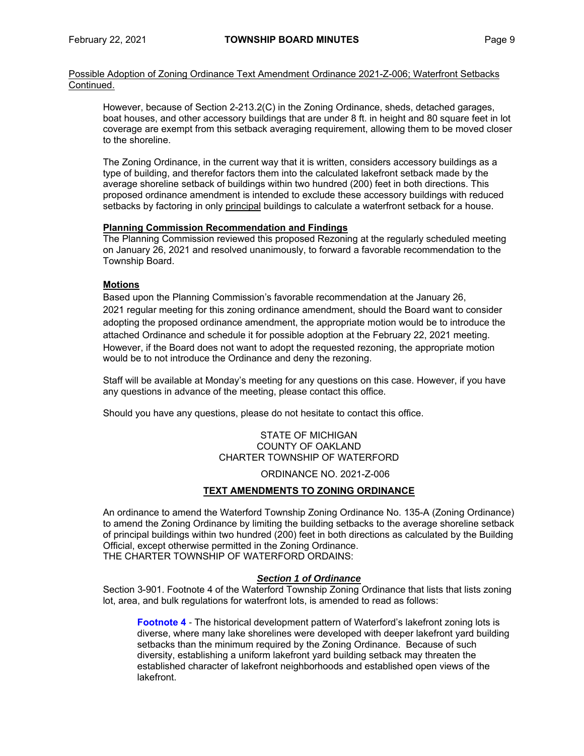Possible Adoption of Zoning Ordinance Text Amendment Ordinance 2021-Z-006; Waterfront Setbacks Continued.

However, because of Section 2-213.2(C) in the Zoning Ordinance, sheds, detached garages, boat houses, and other accessory buildings that are under 8 ft. in height and 80 square feet in lot coverage are exempt from this setback averaging requirement, allowing them to be moved closer to the shoreline.

The Zoning Ordinance, in the current way that it is written, considers accessory buildings as a type of building, and therefor factors them into the calculated lakefront setback made by the average shoreline setback of buildings within two hundred (200) feet in both directions. This proposed ordinance amendment is intended to exclude these accessory buildings with reduced setbacks by factoring in only principal buildings to calculate a waterfront setback for a house.

# **Planning Commission Recommendation and Findings**

The Planning Commission reviewed this proposed Rezoning at the regularly scheduled meeting on January 26, 2021 and resolved unanimously, to forward a favorable recommendation to the Township Board.

# **Motions**

Based upon the Planning Commission's favorable recommendation at the January 26, 2021 regular meeting for this zoning ordinance amendment, should the Board want to consider adopting the proposed ordinance amendment, the appropriate motion would be to introduce the attached Ordinance and schedule it for possible adoption at the February 22, 2021 meeting. However, if the Board does not want to adopt the requested rezoning, the appropriate motion would be to not introduce the Ordinance and deny the rezoning.

Staff will be available at Monday's meeting for any questions on this case. However, if you have any questions in advance of the meeting, please contact this office.

Should you have any questions, please do not hesitate to contact this office.

STATE OF MICHIGAN COUNTY OF OAKLAND CHARTER TOWNSHIP OF WATERFORD

ORDINANCE NO. 2021-Z-006

# **TEXT AMENDMENTS TO ZONING ORDINANCE**

An ordinance to amend the Waterford Township Zoning Ordinance No. 135-A (Zoning Ordinance) to amend the Zoning Ordinance by limiting the building setbacks to the average shoreline setback of principal buildings within two hundred (200) feet in both directions as calculated by the Building Official, except otherwise permitted in the Zoning Ordinance. THE CHARTER TOWNSHIP OF WATERFORD ORDAINS:

# *Section 1 of Ordinance*

Section 3-901. Footnote 4 of the Waterford Township Zoning Ordinance that lists that lists zoning lot, area, and bulk regulations for waterfront lots, is amended to read as follows:

**Footnote 4** *-* The historical development pattern of Waterford's lakefront zoning lots is diverse, where many lake shorelines were developed with deeper lakefront yard building setbacks than the minimum required by the Zoning Ordinance. Because of such diversity, establishing a uniform lakefront yard building setback may threaten the established character of lakefront neighborhoods and established open views of the lakefront.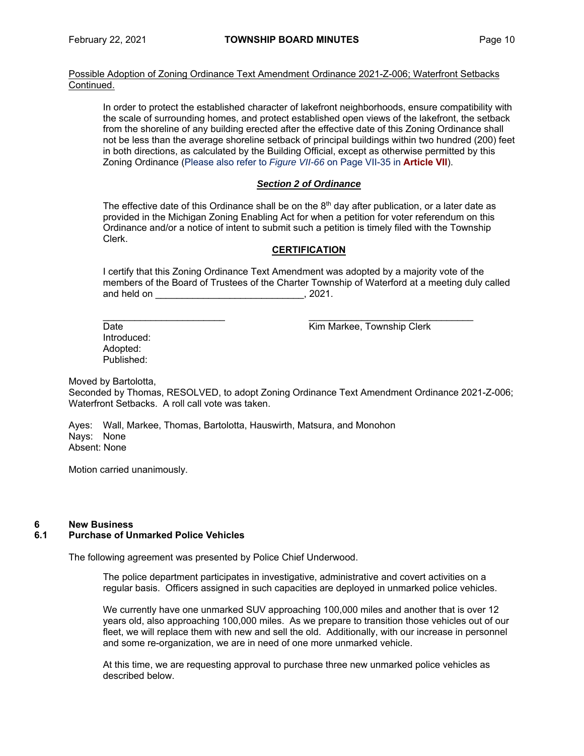Possible Adoption of Zoning Ordinance Text Amendment Ordinance 2021-Z-006; Waterfront Setbacks Continued.

In order to protect the established character of lakefront neighborhoods, ensure compatibility with the scale of surrounding homes, and protect established open views of the lakefront, the setback from the shoreline of any building erected after the effective date of this Zoning Ordinance shall not be less than the average shoreline setback of principal buildings within two hundred (200) feet in both directions, as calculated by the Building Official, except as otherwise permitted by this Zoning Ordinance (Please also refer to *Figure VII-66* on Page VII-35 in **Article VII**).

# *Section 2 of Ordinance*

The effective date of this Ordinance shall be on the  $8<sup>th</sup>$  day after publication, or a later date as provided in the Michigan Zoning Enabling Act for when a petition for voter referendum on this Ordinance and/or a notice of intent to submit such a petition is timely filed with the Township Clerk.

# **CERTIFICATION**

I certify that this Zoning Ordinance Text Amendment was adopted by a majority vote of the members of the Board of Trustees of the Charter Township of Waterford at a meeting duly called and held on \_\_\_\_\_\_\_\_\_\_\_\_\_\_\_\_\_\_\_\_\_\_\_\_\_\_\_\_\_\_\_\_\_, 2021.

Date **Date** Kim Markee, Township Clerk

Introduced: Adopted: Published:

Moved by Bartolotta,

Seconded by Thomas, RESOLVED, to adopt Zoning Ordinance Text Amendment Ordinance 2021-Z-006; Waterfront Setbacks.A roll call vote was taken.

Ayes: Wall, Markee, Thomas, Bartolotta, Hauswirth, Matsura, and Monohon Nays: None Absent: None

Motion carried unanimously.

# **6 New Business**

# **6.1 Purchase of Unmarked Police Vehicles**

The following agreement was presented by Police Chief Underwood.

The police department participates in investigative, administrative and covert activities on a regular basis. Officers assigned in such capacities are deployed in unmarked police vehicles.

We currently have one unmarked SUV approaching 100,000 miles and another that is over 12 years old, also approaching 100,000 miles. As we prepare to transition those vehicles out of our fleet, we will replace them with new and sell the old. Additionally, with our increase in personnel and some re-organization, we are in need of one more unmarked vehicle.

At this time, we are requesting approval to purchase three new unmarked police vehicles as described below.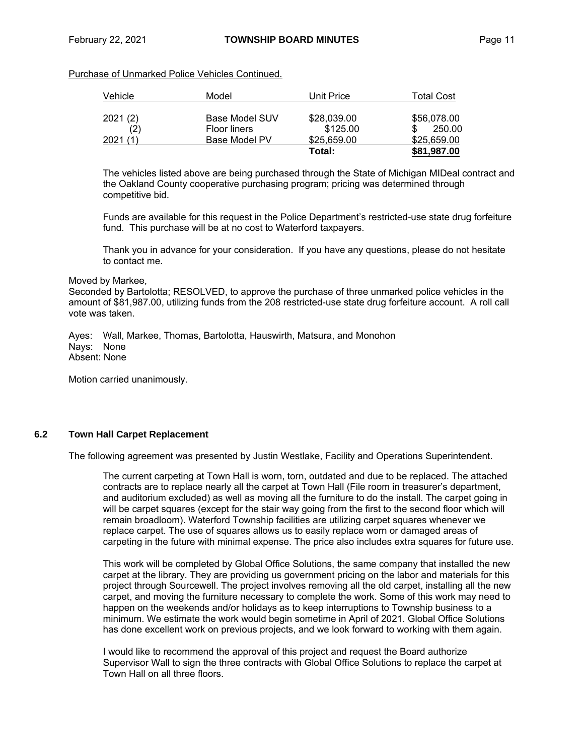# Purchase of Unmarked Police Vehicles Continued.

| Vehicle  | Model                 | Unit Price  | Total Cost  |
|----------|-----------------------|-------------|-------------|
| 2021(2)  | <b>Base Model SUV</b> | \$28,039.00 | \$56,078,00 |
| (2)      | <b>Floor liners</b>   | \$125.00    | 250.00      |
| 2021 (1) | Base Model PV         | \$25,659,00 | \$25,659,00 |
|          |                       | Total:      | \$81,987.00 |

The vehicles listed above are being purchased through the State of Michigan MIDeal contract and the Oakland County cooperative purchasing program; pricing was determined through competitive bid.

Funds are available for this request in the Police Department's restricted-use state drug forfeiture fund. This purchase will be at no cost to Waterford taxpayers.

Thank you in advance for your consideration. If you have any questions, please do not hesitate to contact me.

#### Moved by Markee,

Seconded by Bartolotta; RESOLVED, to approve the purchase of three unmarked police vehicles in the amount of \$81,987.00, utilizing funds from the 208 restricted-use state drug forfeiture account. A roll call vote was taken.

Ayes: Wall, Markee, Thomas, Bartolotta, Hauswirth, Matsura, and Monohon Nays: None Absent: None

Motion carried unanimously.

# **6.2 Town Hall Carpet Replacement**

The following agreement was presented by Justin Westlake, Facility and Operations Superintendent.

The current carpeting at Town Hall is worn, torn, outdated and due to be replaced. The attached contracts are to replace nearly all the carpet at Town Hall (File room in treasurer's department, and auditorium excluded) as well as moving all the furniture to do the install. The carpet going in will be carpet squares (except for the stair way going from the first to the second floor which will remain broadloom). Waterford Township facilities are utilizing carpet squares whenever we replace carpet. The use of squares allows us to easily replace worn or damaged areas of carpeting in the future with minimal expense. The price also includes extra squares for future use.

This work will be completed by Global Office Solutions, the same company that installed the new carpet at the library. They are providing us government pricing on the labor and materials for this project through Sourcewell. The project involves removing all the old carpet, installing all the new carpet, and moving the furniture necessary to complete the work. Some of this work may need to happen on the weekends and/or holidays as to keep interruptions to Township business to a minimum. We estimate the work would begin sometime in April of 2021. Global Office Solutions has done excellent work on previous projects, and we look forward to working with them again.

I would like to recommend the approval of this project and request the Board authorize Supervisor Wall to sign the three contracts with Global Office Solutions to replace the carpet at Town Hall on all three floors.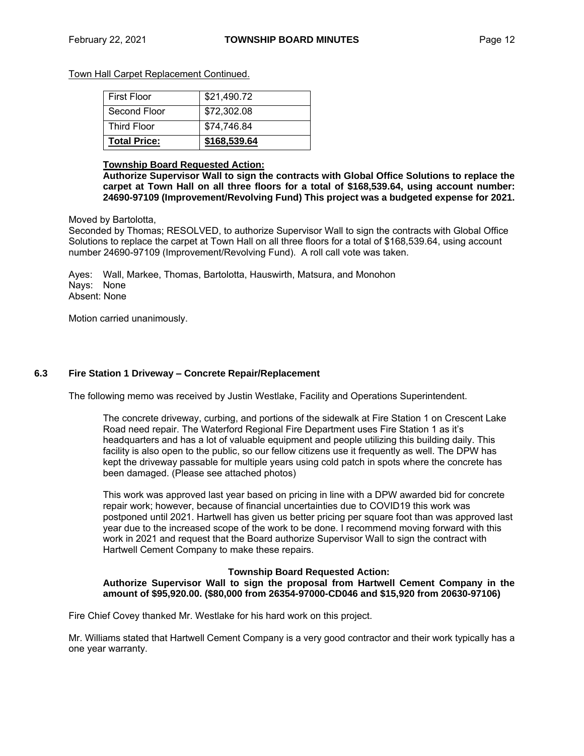Town Hall Carpet Replacement Continued.

| <b>First Floor</b>  | \$21,490.72  |
|---------------------|--------------|
| Second Floor        | \$72,302.08  |
| <b>Third Floor</b>  | \$74,746.84  |
| <b>Total Price:</b> | \$168,539.64 |

#### **Township Board Requested Action:**

**Authorize Supervisor Wall to sign the contracts with Global Office Solutions to replace the carpet at Town Hall on all three floors for a total of \$168,539.64, using account number: 24690-97109 (Improvement/Revolving Fund) This project was a budgeted expense for 2021.**

Moved by Bartolotta,

Seconded by Thomas; RESOLVED, to authorize Supervisor Wall to sign the contracts with Global Office Solutions to replace the carpet at Town Hall on all three floors for a total of \$168,539.64, using account number 24690-97109 (Improvement/Revolving Fund). A roll call vote was taken.

Ayes: Wall, Markee, Thomas, Bartolotta, Hauswirth, Matsura, and Monohon Nays: None Absent: None

Motion carried unanimously.

# **6.3 Fire Station 1 Driveway – Concrete Repair/Replacement**

The following memo was received by Justin Westlake, Facility and Operations Superintendent.

The concrete driveway, curbing, and portions of the sidewalk at Fire Station 1 on Crescent Lake Road need repair. The Waterford Regional Fire Department uses Fire Station 1 as it's headquarters and has a lot of valuable equipment and people utilizing this building daily. This facility is also open to the public, so our fellow citizens use it frequently as well. The DPW has kept the driveway passable for multiple years using cold patch in spots where the concrete has been damaged. (Please see attached photos)

This work was approved last year based on pricing in line with a DPW awarded bid for concrete repair work; however, because of financial uncertainties due to COVID19 this work was postponed until 2021. Hartwell has given us better pricing per square foot than was approved last year due to the increased scope of the work to be done. I recommend moving forward with this work in 2021 and request that the Board authorize Supervisor Wall to sign the contract with Hartwell Cement Company to make these repairs.

#### **Township Board Requested Action: Authorize Supervisor Wall to sign the proposal from Hartwell Cement Company in the amount of \$95,920.00. (\$80,000 from 26354-97000-CD046 and \$15,920 from 20630-97106)**

Fire Chief Covey thanked Mr. Westlake for his hard work on this project.

Mr. Williams stated that Hartwell Cement Company is a very good contractor and their work typically has a one year warranty.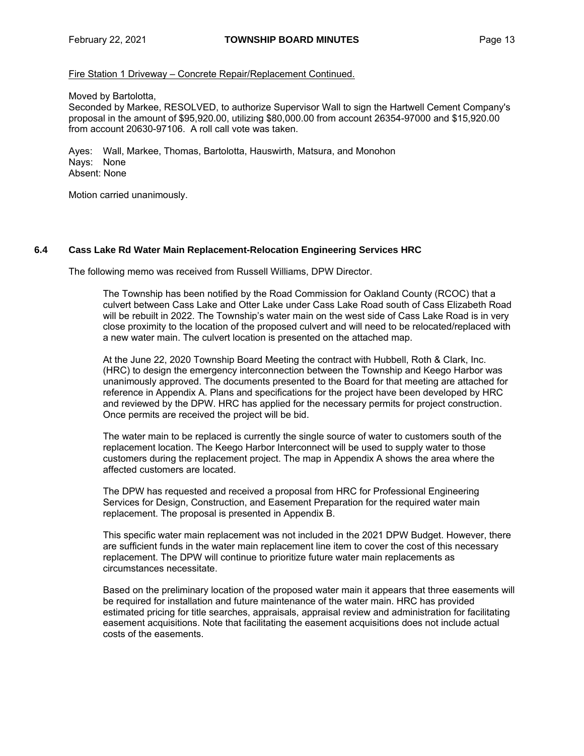Fire Station 1 Driveway – Concrete Repair/Replacement Continued.

Moved by Bartolotta,

Seconded by Markee, RESOLVED, to authorize Supervisor Wall to sign the Hartwell Cement Company's proposal in the amount of \$95,920.00, utilizing \$80,000.00 from account 26354-97000 and \$15,920.00 from account 20630-97106. A roll call vote was taken.

Ayes: Wall, Markee, Thomas, Bartolotta, Hauswirth, Matsura, and Monohon Nays: None Absent: None

Motion carried unanimously.

# **6.4 Cass Lake Rd Water Main Replacement-Relocation Engineering Services HRC**

The following memo was received from Russell Williams, DPW Director.

The Township has been notified by the Road Commission for Oakland County (RCOC) that a culvert between Cass Lake and Otter Lake under Cass Lake Road south of Cass Elizabeth Road will be rebuilt in 2022. The Township's water main on the west side of Cass Lake Road is in very close proximity to the location of the proposed culvert and will need to be relocated/replaced with a new water main. The culvert location is presented on the attached map.

At the June 22, 2020 Township Board Meeting the contract with Hubbell, Roth & Clark, Inc. (HRC) to design the emergency interconnection between the Township and Keego Harbor was unanimously approved. The documents presented to the Board for that meeting are attached for reference in Appendix A. Plans and specifications for the project have been developed by HRC and reviewed by the DPW. HRC has applied for the necessary permits for project construction. Once permits are received the project will be bid.

The water main to be replaced is currently the single source of water to customers south of the replacement location. The Keego Harbor Interconnect will be used to supply water to those customers during the replacement project. The map in Appendix A shows the area where the affected customers are located.

The DPW has requested and received a proposal from HRC for Professional Engineering Services for Design, Construction, and Easement Preparation for the required water main replacement. The proposal is presented in Appendix B.

This specific water main replacement was not included in the 2021 DPW Budget. However, there are sufficient funds in the water main replacement line item to cover the cost of this necessary replacement. The DPW will continue to prioritize future water main replacements as circumstances necessitate.

Based on the preliminary location of the proposed water main it appears that three easements will be required for installation and future maintenance of the water main. HRC has provided estimated pricing for title searches, appraisals, appraisal review and administration for facilitating easement acquisitions. Note that facilitating the easement acquisitions does not include actual costs of the easements.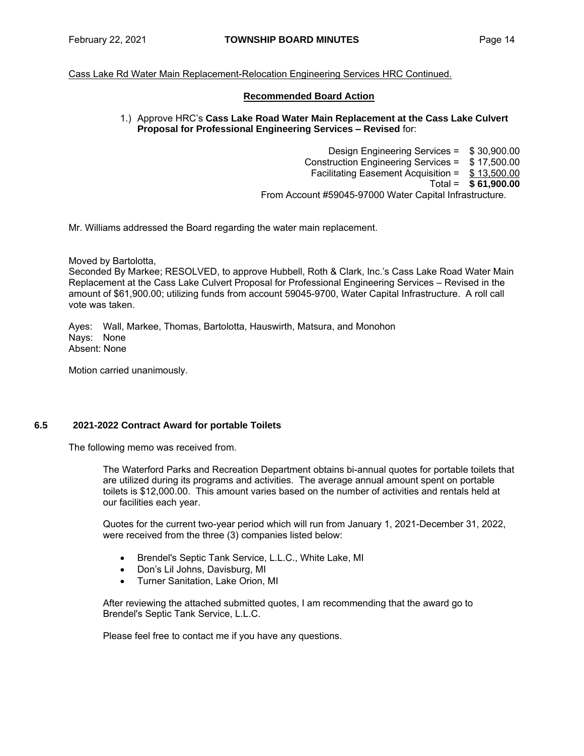# Cass Lake Rd Water Main Replacement-Relocation Engineering Services HRC Continued.

# **Recommended Board Action**

# 1.) Approve HRC's **Cass Lake Road Water Main Replacement at the Cass Lake Culvert Proposal for Professional Engineering Services – Revised** for:

Design Engineering Services = \$ 30,900.00 Construction Engineering Services = \$ 17,500.00 Facilitating Easement Acquisition = \$ 13,500.00 Total = **\$ 61,900.00** From Account #59045-97000 Water Capital Infrastructure.

Mr. Williams addressed the Board regarding the water main replacement.

Moved by Bartolotta,

Seconded By Markee; RESOLVED, to approve Hubbell, Roth & Clark, Inc.'s Cass Lake Road Water Main Replacement at the Cass Lake Culvert Proposal for Professional Engineering Services – Revised in the amount of \$61,900.00; utilizing funds from account 59045-9700, Water Capital Infrastructure. A roll call vote was taken.

Ayes: Wall, Markee, Thomas, Bartolotta, Hauswirth, Matsura, and Monohon Nays: None Absent: None

Motion carried unanimously.

# **6.5 2021-2022 Contract Award for portable Toilets**

The following memo was received from.

The Waterford Parks and Recreation Department obtains bi-annual quotes for portable toilets that are utilized during its programs and activities. The average annual amount spent on portable toilets is \$12,000.00. This amount varies based on the number of activities and rentals held at our facilities each year.

Quotes for the current two-year period which will run from January 1, 2021-December 31, 2022, were received from the three (3) companies listed below:

- Brendel's Septic Tank Service, L.L.C., White Lake, MI
- Don's Lil Johns, Davisburg, MI
- Turner Sanitation, Lake Orion, MI

After reviewing the attached submitted quotes, I am recommending that the award go to Brendel's Septic Tank Service, L.L.C.

Please feel free to contact me if you have any questions.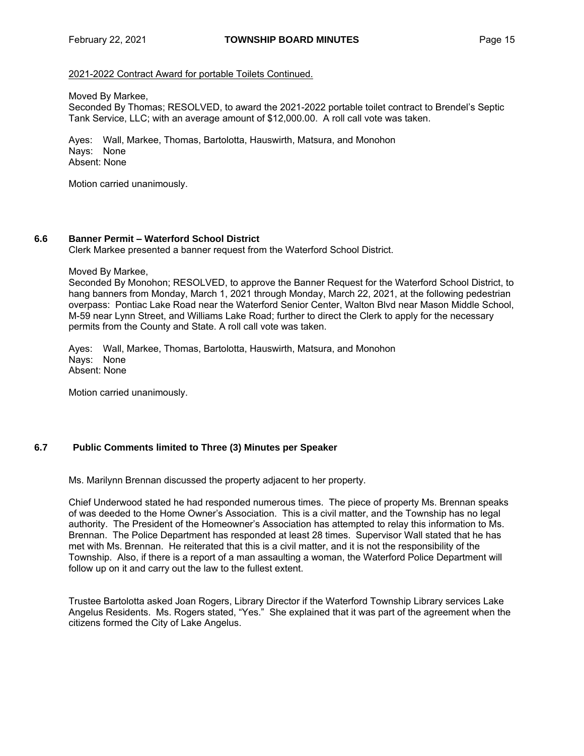# 2021-2022 Contract Award for portable Toilets Continued.

Moved By Markee,

Seconded By Thomas; RESOLVED, to award the 2021-2022 portable toilet contract to Brendel's Septic Tank Service, LLC; with an average amount of \$12,000.00. A roll call vote was taken.

Ayes: Wall, Markee, Thomas, Bartolotta, Hauswirth, Matsura, and Monohon Nays: None Absent: None

Motion carried unanimously.

# **6.6 Banner Permit – Waterford School District**

Clerk Markee presented a banner request from the Waterford School District.

#### Moved By Markee,

Seconded By Monohon; RESOLVED, to approve the Banner Request for the Waterford School District, to hang banners from Monday, March 1, 2021 through Monday, March 22, 2021, at the following pedestrian overpass: Pontiac Lake Road near the Waterford Senior Center, Walton Blvd near Mason Middle School, M-59 near Lynn Street, and Williams Lake Road; further to direct the Clerk to apply for the necessary permits from the County and State. A roll call vote was taken.

Ayes: Wall, Markee, Thomas, Bartolotta, Hauswirth, Matsura, and Monohon Nays: None Absent: None

Motion carried unanimously.

# **6.7 Public Comments limited to Three (3) Minutes per Speaker**

Ms. Marilynn Brennan discussed the property adjacent to her property.

Chief Underwood stated he had responded numerous times. The piece of property Ms. Brennan speaks of was deeded to the Home Owner's Association. This is a civil matter, and the Township has no legal authority. The President of the Homeowner's Association has attempted to relay this information to Ms. Brennan. The Police Department has responded at least 28 times. Supervisor Wall stated that he has met with Ms. Brennan. He reiterated that this is a civil matter, and it is not the responsibility of the Township. Also, if there is a report of a man assaulting a woman, the Waterford Police Department will follow up on it and carry out the law to the fullest extent.

Trustee Bartolotta asked Joan Rogers, Library Director if the Waterford Township Library services Lake Angelus Residents. Ms. Rogers stated, "Yes." She explained that it was part of the agreement when the citizens formed the City of Lake Angelus.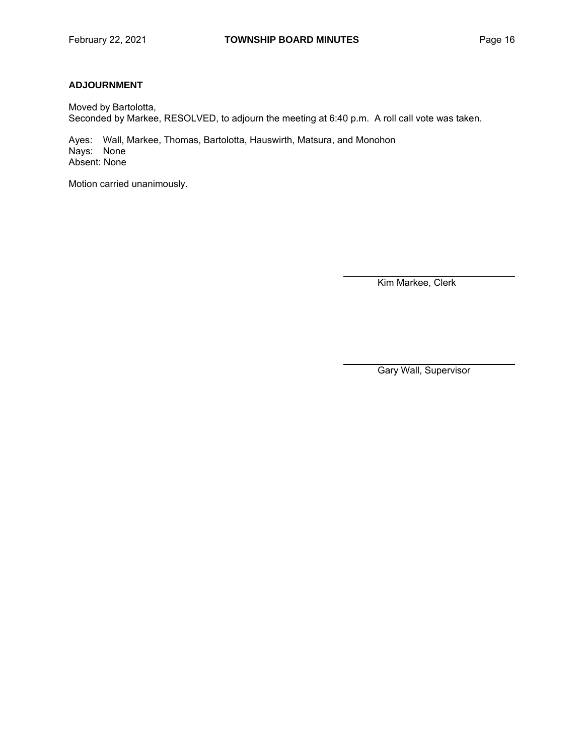# **ADJOURNMENT**

Moved by Bartolotta, Seconded by Markee, RESOLVED, to adjourn the meeting at 6:40 p.m. A roll call vote was taken.

Ayes: Wall, Markee, Thomas, Bartolotta, Hauswirth, Matsura, and Monohon Nays: None Absent: None

Motion carried unanimously.

Kim Markee, Clerk

Gary Wall, Supervisor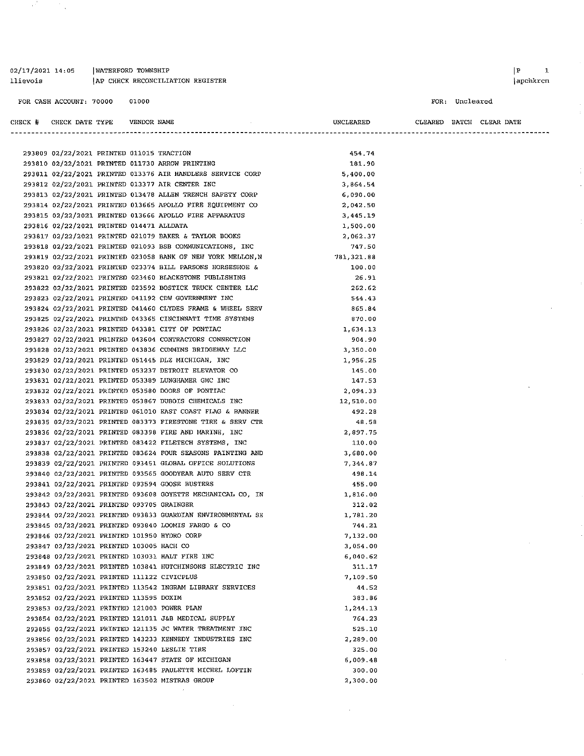| 02/17/2021 14:05 | WATERFORD TOWNSHIP             |  |
|------------------|--------------------------------|--|
| llievois         | AP CHECK RECONCILIATION REGIST |  |

 $\epsilon^2$ 

 $\frac{1}{2} \frac{1}{2} \frac{1}{2} \frac{1}{2}$ 

r<br>|apchkrcn

| CHECK # | CHECK DATE TYPE |  | VENDOR NAME |  |
|---------|-----------------|--|-------------|--|
|         |                 |  |             |  |

| llievois |                                            |             | AP CHECK RECONCILIATION REGISTER                            |            |                          |                | apchkrcn |
|----------|--------------------------------------------|-------------|-------------------------------------------------------------|------------|--------------------------|----------------|----------|
|          | FOR CASH ACCOUNT: 70000                    | 01000       |                                                             |            |                          | FOR: Uncleared |          |
|          | CHECK # CHECK DATE TYPE                    | VENDOR NAME |                                                             | UNCLEARED  | CLEARED BATCH CLEAR DATE |                |          |
|          |                                            |             |                                                             |            |                          |                |          |
|          | 293809 02/22/2021 PRINTED 011015 TRACTION  |             |                                                             | 454.74     |                          |                |          |
|          |                                            |             | 293810 02/22/2021 PRINTED 011730 ARROW PRINTING             | 181.90     |                          |                |          |
|          |                                            |             | 293811 02/22/2021 PRINTED 013376 AIR HANDLERS SERVICE CORP  | 5,400.00   |                          |                |          |
|          |                                            |             | 293812 02/22/2021 PRINTED 013377 AIR CENTER INC             | 3,864.54   |                          |                |          |
|          |                                            |             | 293813 02/22/2021 PRINTED 013478 ALLEN TRENCH SAFETY CORP   | 6,090.00   |                          |                |          |
|          |                                            |             | 293814 02/22/2021 PRINTED 013665 APOLLO FIRE EQUIPMENT CO   | 2,042.50   |                          |                |          |
|          |                                            |             | 293815 02/22/2021 PRINTED 013666 APOLLO FIRE APPARATUS      | 3,445.19   |                          |                |          |
|          | 293816 02/22/2021 PRINTED 014471 ALLDATA   |             |                                                             | 1,500.00   |                          |                |          |
|          |                                            |             | 293817 02/22/2021 PRINTED 021079 BAKER & TAYLOR BOOKS       | 2,062.37   |                          |                |          |
|          |                                            |             | 293818 02/22/2021 PRINTED 021093 BSB COMMUNICATIONS, INC    | 747.50     |                          |                |          |
|          |                                            |             | 293819 02/22/2021 PRINTED 023058 BANK OF NEW YORK MELLON, N | 781,321.88 |                          |                |          |
|          |                                            |             | 293820 02/22/2021 PRINTED 023374 BILL PARSONS HORSESHOE &   | 100.00     |                          |                |          |
|          |                                            |             | 293821 02/22/2021 PRINTED 023460 BLACKSTONE PUBLISHING      | 26.91      |                          |                |          |
|          |                                            |             | 293822 02/22/2021 PRINTED 023592 BOSTICK TRUCK CENTER LLC   | 262.62     |                          |                |          |
|          |                                            |             | 293823 02/22/2021 PRINTED 041192 CDW GOVERNMENT INC         | 544.43     |                          |                |          |
|          |                                            |             | 293824 02/22/2021 PRINTED 041460 CLYDES FRAME & WHEEL SERV  | 365.84     |                          |                |          |
|          |                                            |             | 293825 02/22/2021 PRINTED 043365 CINCINNATI TIME SYSTEMS    | 870.00     |                          |                |          |
|          |                                            |             | 293826 02/22/2021 PRINTED 043381 CITY OF PONTIAC            | 1,634.13   |                          |                |          |
|          |                                            |             | 293827 02/22/2021 PRINTED 043604 CONTRACTORS CONNECTION     | 904.90     |                          |                |          |
|          |                                            |             | 293828 02/22/2021 PRINTED 043836 CUMMINS BRIDGEWAY LLC      | 3,350.00   |                          |                |          |
|          |                                            |             | 293829 02/22/2021 PRINTED 051445 DLZ MICHIGAN, INC          | 1,956.25   |                          |                |          |
|          |                                            |             | 293830 02/22/2021 PRINTED 053237 DETROIT ELEVATOR CO        | 145.00     |                          |                |          |
|          |                                            |             | 293831 02/22/2021 PRINTED 053389 LUNGHAMER GMC INC          | 147.53     |                          |                |          |
|          |                                            |             | 293832 02/22/2021 PRINTED 053580 DOORS OF PONTIAC           | 2,094.33   |                          |                |          |
|          |                                            |             | 293833 02/22/2021 PRINTED 053867 DUBOIS CHEMICALS INC       | 12,510.00  |                          |                |          |
|          |                                            |             | 293834 02/22/2021 PRINTED 061010 EAST COAST FLAG & BANNER   | 492.28     |                          |                |          |
|          |                                            |             | 293835 02/22/2021 PRINTED 083373 FIRESTONE TIRE & SERV CTR  | 48.58      |                          |                |          |
|          |                                            |             | 293836 02/22/2021 PRINTED 083398 FIRE AND MARINE, INC       | 2,897.75   |                          |                |          |
|          |                                            |             | 293837 02/22/2021 PRINTED 083422 FILETECH SYSTEMS, INC      | 110.00     |                          |                |          |
|          |                                            |             | 293838 02/22/2021 PRINTED 083624 FOUR SEASONS PAINTING AND  | 3,680.00   |                          |                |          |
|          |                                            |             | 293839 02/22/2021 PRINTED 093451 GLOBAL OFFICE SOLUTIONS    | 7,344.87   |                          |                |          |
|          |                                            |             | 293840 02/22/2021 PRINTED 093565 GOODYEAR AUTO SERV CTR     | 498.14     |                          |                |          |
|          |                                            |             | 293841 02/22/2021 PRINTED 093594 GOOSE BUSTERS              | 455.00     |                          |                |          |
|          |                                            |             | 293842 02/22/2021 PRINTED 093608 GOYETTE MECHANICAL CO. IN  | 1,816.00   |                          |                |          |
|          | SERVINGER POTTED OFTWING COOL COLOR TRAINS |             |                                                             | 312.02     |                          |                |          |

|                                              |  | 293842 02/22/2021 PRINTED 093608 GOYETTE MECHANICAL CO, IN | 1,816.00 |
|----------------------------------------------|--|------------------------------------------------------------|----------|
| 293843 02/22/2021 PRINTED 093705 GRAINGER    |  |                                                            | 312.02   |
|                                              |  | 293844 02/22/2021 PRINTED 093833 GUARDIAN ENVIRONMENTAL SE | 1,781.20 |
|                                              |  | 293845 02/22/2021 PRINTED 093840 LOOMIS FARGO & CO         | 744.21   |
| 293846 02/22/2021 PRINTED 101950 HYDRO CORP  |  |                                                            | 7,132.00 |
| 293847 02/22/2021 PRINTED 103005 HACH CO     |  |                                                            | 3.054.00 |
|                                              |  | 293848 02/22/2021 PRINTED 103031 HALT FIRE INC             | 6,040.62 |
|                                              |  | 293849 02/22/2021 PRINTED 103841 HUTCHINSONS ELECTRIC INC  | 311, 17  |
| 293850 02/22/2021 PRINTED 111122 CIVICPLUS   |  |                                                            | 7,109.50 |
|                                              |  | 293851 02/22/2021 PRINTED 113542 INGRAM LIBRARY SERVICES   | 44.52    |
| 293852 02/22/2021 PRINTED 113595 DOXIM       |  |                                                            | 383.86   |
| 293853 02/22/2021 PRINTED 121003 POWER PLAN  |  |                                                            | 1,244.13 |
|                                              |  | 293854 02/22/2021 PRINTED 121011 J&B MEDICAL SUPPLY        | 764.23   |
|                                              |  | 293855 02/22/2021 PRINTED 121135 JC WATER TREATMENT INC    | 525.10   |
|                                              |  | 293856 02/22/2021 PRINTED 143233 KENNEDY INDUSTRIES INC    | 2,289.00 |
| 293857 02/22/2021 PRINTED 153240 LESLIE TIRE |  |                                                            | 325.00   |
|                                              |  | 293858 02/22/2021 PRINTED 163447 STATE OF MICHIGAN         | 6,009.48 |
|                                              |  | 293859 02/22/2021 PRINTED 163485 PAULETTE MICHEL LOFTIN    | 300.00   |
|                                              |  | 293860 02/22/2021 PRINTED 163502 MISTRAS GROUP             | 2,300.00 |
|                                              |  |                                                            |          |

 $\hat{\boldsymbol{\beta}}$ 

 $\mathcal{L}$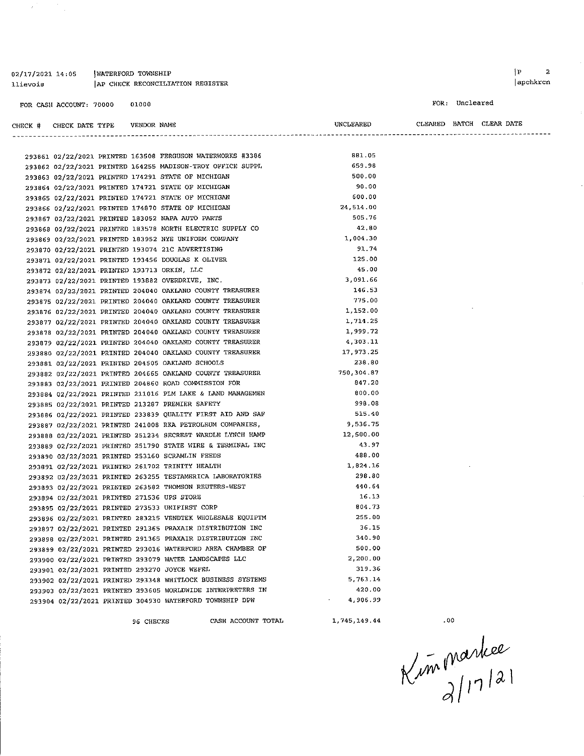02/17/2021 14:05 | WATERFORD TOWNSHIP AP CHECK RECONCILIATION REGISTER llievois

 $\mathcal{A}$ 

FOR: Uncleared

 $\hat{\boldsymbol{\beta}}$ 

 $\bar{z}$ 

| CHECK # | CHECK DATE TYPE | VENDOR NAME |  |
|---------|-----------------|-------------|--|
|         |                 |             |  |

| UNCLEARED |  | CLEARED BATCH CLEAR DATE |  |
|-----------|--|--------------------------|--|
|           |  |                          |  |

|                                                    |           |                                                            | -------------------------------- |
|----------------------------------------------------|-----------|------------------------------------------------------------|----------------------------------|
|                                                    |           |                                                            |                                  |
|                                                    |           | 293861 02/22/2021 PRINTED 163508 FERGUSON WATERWORKS #3386 | 881.05                           |
|                                                    |           | 293862 02/22/2021 PRINTED 164255 MADISON-TROY OFFICE SUPPL | 659.98                           |
| 293863 02/22/2021 PRINTED 174291 STATE OF MICHIGAN |           |                                                            | 500.00                           |
| 293864 02/22/2021 PRINTED 174721 STATE OF MICHIGAN |           |                                                            | 90.00                            |
|                                                    |           | 293865 02/22/2021 PRINTED 174721 STATE OF MICHIGAN         | 600.00                           |
|                                                    |           | 293866 02/22/2021 PRINTED 174870 STATE OF MICHIGAN         | 24,514.00                        |
| 293867 02/22/2021 PRINTED 183052 NAPA AUTO PARTS   |           |                                                            | 505.76                           |
|                                                    |           | 293868 02/22/2021 PRINTED 183578 NORTH ELECTRIC SUPPLY CO  | 42.80                            |
|                                                    |           | 293869 02/22/2021 PRINTED 183952 NYE UNIFORM COMPANY       | 1.004.30                         |
| 293870 02/22/2021 PRINTED 193074 21C ADVERTISING   |           |                                                            | 91.74                            |
| 293871 02/22/2021 PRINTED 193456 DOUGLAS K OLIVER  |           |                                                            | 125.00                           |
| 293872 02/22/2021 PRINTED 193713 ORKIN, LLC        |           |                                                            | 45.00                            |
| 293873 02/22/2021 PRINTED 193882 OVERDRIVE, INC.   |           |                                                            | 3.091.66                         |
|                                                    |           | 293874 02/22/2021 PRINTED 204040 OAKLAND COUNTY TREASURER  | 146.53                           |
|                                                    |           | 293875 02/22/2021 PRINTED 204040 OAKLAND COUNTY TREASURER  | 775.00                           |
|                                                    |           | 293876 02/22/2021 PRINTED 204040 OAKLAND COUNTY TREASURER  | 1,152.00                         |
|                                                    |           | 293877 02/22/2021 PRINTED 204040 OAKLAND COUNTY TREASURER  | 1.714.25                         |
|                                                    |           | 293878 02/22/2021 PRINTED 204040 OAKLAND COUNTY TREASURER  | 1.999.72                         |
|                                                    |           | 293879 02/22/2021 PRINTED 204040 OAKLAND COUNTY TREASURER  | 4 303.11                         |
|                                                    |           | 293880 02/22/2021 PRINTED 204040 OAKLAND COUNTY TREASURER  | 17,973.25                        |
| 293881 02/22/2021 PRINTED 204505 OAKLAND SCHOOLS   |           |                                                            | 238.80                           |
|                                                    |           | 293882 02/22/2021 PRINTED 204665 OAKLAND COUNTY TREASURER  | 750.304.87                       |
|                                                    |           | 293883 02/22/2021 PRINTED 204860 ROAD COMMISSION FOR       | 847.20                           |
|                                                    |           | 293884 02/22/2021 PRINTED 211016 PLM LAKE & LAND MANAGEMEN | 800.00                           |
| 293885 02/22/2021 PRINTED 213287 PREMIER SAFETY    |           |                                                            | 998.08                           |
|                                                    |           | 293886 02/22/2021 PRINTED 233839 QUALITY FIRST AID AND SAF | 515.40                           |
|                                                    |           | 293887 02/22/2021 PRINTED 241008 RKA PETROLEUM COMPANIES,  | 9.536.75                         |
|                                                    |           | 293888 02/22/2021 PRINTED 251234 SECREST WARDLE LYNCH HAMP | 12,500.00                        |
|                                                    |           | 293889 02/22/2021 PRINTED 251790 STATE WIRE & TERMINAL INC | 43.97                            |
| 293890 02/22/2021 PRINTED 253160 SCRAMLIN FEEDS    |           |                                                            | 488.00                           |
| 293891 02/22/2021 PRINTED 261702 TRINITY HEALTH    |           |                                                            | 1,824.16                         |
|                                                    |           | 293892 02/22/2021 PRINTED 263255 TESTAMERICA LABORATORIES  | 298.80                           |
|                                                    |           | 293893 02/22/2021 PRINTED 263582 THOMSON REUTERS-WEST      | 440.64                           |
| 293894 02/22/2021 PRINTED 271536 UPS STORE         |           |                                                            | 16.13                            |
| 293895 02/22/2021 PRINTED 273533 UNIFIRST CORP     |           |                                                            | 804.73                           |
|                                                    |           | 293896 02/22/2021 PRINTED 283215 VENDTEK WHOLESALE EQUIPTM | 255.00                           |
|                                                    |           | 293897 02/22/2021 PRINTED 291365 PRAXAIR DISTRIBUTION INC  | 36.15                            |
|                                                    |           | 293898 02/22/2021 PRINTED 291365 PRAXAIR DISTRIBUTION INC  | 340.90                           |
|                                                    |           | 293899 02/22/2021 PRINTED 293016 WATERFORD AREA CHAMBER OF | 500.00                           |
|                                                    |           | 293900 02/22/2021 PRINTED 293079 WATER LANDSCAPES LLC      | 2,200.00                         |
| 293901 02/22/2021 PRINTED 293270 JOYCE WEFEL       |           |                                                            | 319.36                           |
|                                                    |           | 293902 02/22/2021 PRINTED 293348 WHITLOCK BUSINESS SYSTEMS | 5,763.14                         |
|                                                    |           | 293903 02/22/2021 PRINTED 293605 WORLDWIDE INTERPRETERS IN | 420.00                           |
|                                                    |           | 293904 02/22/2021 PRINTED 304930 WATERFORD TOWNSHIP DPW    | 4,906.99                         |
|                                                    | 96 CHECKS | CASH ACCOUNT TOTAL                                         | 1,745,149.44                     |
|                                                    |           |                                                            |                                  |

 $.00$ 

Kim Markee